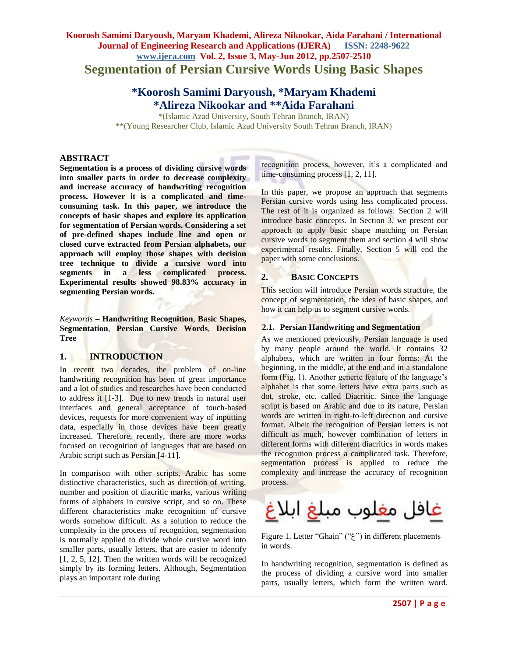# **Koorosh Samimi Daryoush, Maryam Khademi, Alireza Nikookar, Aida Farahani / International Journal of Engineering Research and Applications (IJERA) ISSN: 2248-9622 www.ijera.com Vol. 2, Issue 3, May-Jun 2012, pp.2507-2510 Segmentation of Persian Cursive Words Using Basic Shapes**

# **\*Koorosh Samimi Daryoush, \*Maryam Khademi \*Alireza Nikookar and \*\*Aida Farahani**

\*(Islamic Azad University, South Tehran Branch, IRAN) \*\*(Young Researcher Club, Islamic Azad University South Tehran Branch, IRAN)

# **ABSTRACT**

**Segmentation is a process of dividing cursive words into smaller parts in order to decrease complexity and increase accuracy of handwriting recognition process. However it is a complicated and timeconsuming task. In this paper, we introduce the concepts of basic shapes and explore its application for segmentation of Persian words. Considering a set of pre-defined shapes include line and open or closed curve extracted from Persian alphabets, our approach will employ those shapes with decision tree technique to divide a cursive word into segments in a less complicated process. Experimental results showed 98.83% accuracy in segmenting Persian words.**

*Keywords* **– Handwriting Recognition**, **Basic Shapes, Segmentation**, **Persian Cursive Words**, **Decision Tree**

# **1. INTRODUCTION**

In recent two decades, the problem of on-line handwriting recognition has been of great importance and a lot of studies and researches have been conducted to address it [1-3]. Due to new trends in natural user interfaces and general acceptance of touch-based devices, requests for more convenient way of inputting data, especially in those devices have been greatly increased. Therefore, recently, there are more works focused on recognition of languages that are based on Arabic script such as Persian [4-11].

In comparison with other scripts, Arabic has some distinctive characteristics, such as direction of writing, number and position of diacritic marks, various writing forms of alphabets in cursive script, and so on. These different characteristics make recognition of cursive words somehow difficult. As a solution to reduce the complexity in the process of recognition, segmentation is normally applied to divide whole cursive word into smaller parts, usually letters, that are easier to identify [1, 2, 5, 12]. Then the written words will be recognized simply by its forming letters. Although, Segmentation plays an important role during

recognition process, however, it's a complicated and time-consuming process [1, 2, 11].

In this paper, we propose an approach that segments Persian cursive words using less complicated process. The rest of it is organized as follows: Section 2 will introduce basic concepts. In Section 3, we present our approach to apply basic shape matching on Persian cursive words to segment them and section 4 will show experimental results. Finally, Section 5 will end the paper with some conclusions.

# **2. BASIC CONCEPTS**

This section will introduce Persian words structure, the concept of segmentation, the idea of basic shapes, and how it can help us to segment cursive words.

#### **2.1. Persian Handwriting and Segmentation**

As we mentioned previously, Persian language is used by many people around the world. It contains 32 alphabets, which are written in four forms: At the beginning, in the middle, at the end and in a standalone form (Fig. 1). Another generic feature of the language's alphabet is that some letters have extra parts such as dot, stroke, etc. called Diacritic. Since the language script is based on Arabic and due to its nature, Persian words are written in right-to-left direction and cursive format. Albeit the recognition of Persian letters is not difficult as much, however combination of letters in different forms with different diacritics in words makes the recognition process a complicated task. Therefore, segmentation process is applied to reduce the complexity and increase the accuracy of recognition process.



Figure 1. Letter "Ghain" ("غ") in different placements in words.

In handwriting recognition, segmentation is defined as the process of dividing a cursive word into smaller parts, usually letters, which form the written word.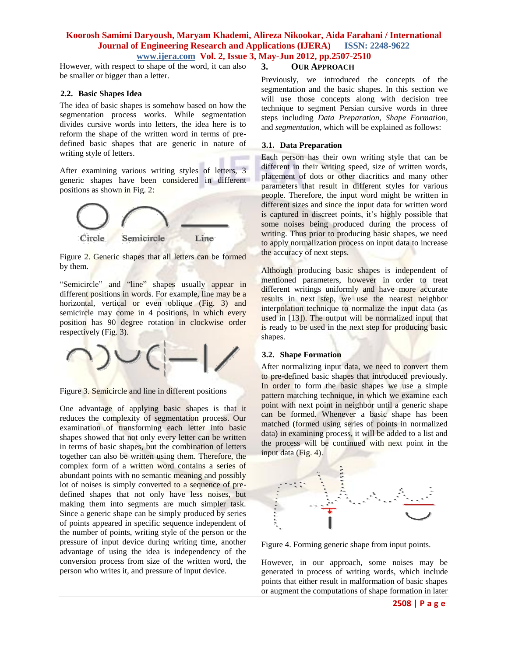# **Koorosh Samimi Daryoush, Maryam Khademi, Alireza Nikookar, Aida Farahani / International Journal of Engineering Research and Applications (IJERA) ISSN: 2248-9622 www.ijera.com Vol. 2, Issue 3, May-Jun 2012, pp.2507-2510**

However, with respect to shape of the word, it can also be smaller or bigger than a letter.

#### **2.2. Basic Shapes Idea**

The idea of basic shapes is somehow based on how the segmentation process works. While segmentation divides cursive words into letters, the idea here is to reform the shape of the written word in terms of predefined basic shapes that are generic in nature of writing style of letters.

After examining various writing styles of letters, 3 generic shapes have been considered in different positions as shown in Fig. 2:



Figure 2. Generic shapes that all letters can be formed by them.

"Semicircle" and "line" shapes usually appear in different positions in words. For example, line may be a horizontal, vertical or even oblique (Fig. 3) and semicircle may come in 4 positions, in which every position has 90 degree rotation in clockwise order respectively (Fig. 3).



Figure 3. Semicircle and line in different positions

One advantage of applying basic shapes is that it reduces the complexity of segmentation process. Our examination of transforming each letter into basic shapes showed that not only every letter can be written in terms of basic shapes, but the combination of letters together can also be written using them. Therefore, the complex form of a written word contains a series of abundant points with no semantic meaning and possibly lot of noises is simply converted to a sequence of predefined shapes that not only have less noises, but making them into segments are much simpler task. Since a generic shape can be simply produced by series of points appeared in specific sequence independent of the number of points, writing style of the person or the pressure of input device during writing time, another advantage of using the idea is independency of the conversion process from size of the written word, the person who writes it, and pressure of input device.

# **3. OUR APPROACH**

Previously, we introduced the concepts of the segmentation and the basic shapes. In this section we will use those concepts along with decision tree technique to segment Persian cursive words in three steps including *Data Preparation, Shape Formation,*  and *segmentation*, which will be explained as follows:

#### **3.1. Data Preparation**

Each person has their own writing style that can be different in their writing speed, size of written words, placement of dots or other diacritics and many other parameters that result in different styles for various people. Therefore, the input word might be written in different sizes and since the input data for written word is captured in discreet points, it's highly possible that some noises being produced during the process of writing. Thus prior to producing basic shapes, we need to apply normalization process on input data to increase the accuracy of next steps.

Although producing basic shapes is independent of mentioned parameters, however in order to treat different writings uniformly and have more accurate results in next step, we use the nearest neighbor interpolation technique to normalize the input data (as used in [13]). The output will be normalized input that is ready to be used in the next step for producing basic shapes.

# **3.2. Shape Formation**

After normalizing input data, we need to convert them to pre-defined basic shapes that introduced previously. In order to form the basic shapes we use a simple pattern matching technique, in which we examine each point with next point in neighbor until a generic shape can be formed. Whenever a basic shape has been matched (formed using series of points in normalized data) in examining process, it will be added to a list and the process will be continued with next point in the input data (Fig. 4).



Figure 4. Forming generic shape from input points.

However, in our approach, some noises may be generated in process of writing words, which include points that either result in malformation of basic shapes or augment the computations of shape formation in later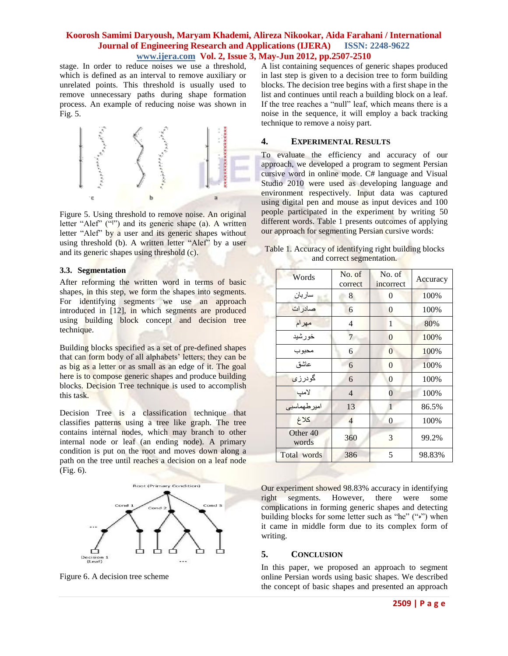# **Koorosh Samimi Daryoush, Maryam Khademi, Alireza Nikookar, Aida Farahani / International Journal of Engineering Research and Applications (IJERA) ISSN: 2248-9622 www.ijera.com Vol. 2, Issue 3, May-Jun 2012, pp.2507-2510**

stage. In order to reduce noises we use a threshold, which is defined as an interval to remove auxiliary or unrelated points. This threshold is usually used to remove unnecessary paths during shape formation process. An example of reducing noise was shown in Fig. 5.



Figure 5. Using threshold to remove noise. An original letter "Alef" ("I") and its generic shape (a). A written letter "Alef" by a user and its generic shapes without using threshold (b). A written letter "Alef" by a user and its generic shapes using threshold (c).

#### **3.3. Segmentation**

After reforming the written word in terms of basic shapes, in this step, we form the shapes into segments. For identifying segments we use an approach introduced in [12], in which segments are produced using building block concept and decision tree technique.

Building blocks specified as a set of pre-defined shapes that can form body of all alphabets' letters; they can be as big as a letter or as small as an edge of it. The goal here is to compose generic shapes and produce building blocks. Decision Tree technique is used to accomplish this task.

Decision Tree is a classification technique that classifies patterns using a tree like graph. The tree contains internal nodes, which may branch to other internal node or leaf (an ending node). A primary condition is put on the root and moves down along a path on the tree until reaches a decision on a leaf node (Fig. 6).



Figure 6. A decision tree scheme

A list containing sequences of generic shapes produced in last step is given to a decision tree to form building blocks. The decision tree begins with a first shape in the list and continues until reach a building block on a leaf. If the tree reaches a "null" leaf, which means there is a noise in the sequence, it will employ a back tracking technique to remove a noisy part.

# **4. EXPERIMENTAL RESULTS**

To evaluate the efficiency and accuracy of our approach, we developed a program to segment Persian cursive word in online mode. C# language and Visual Studio 2010 were used as developing language and environment respectively. Input data was captured using digital pen and mouse as input devices and 100 people participated in the experiment by writing 50 different words. Table 1 presents outcomes of applying our approach for segmenting Persian cursive words:

Table 1. Accuracy of identifying right building blocks and correct segmentation.

| Words                        | No. of<br>correct | No. of<br>incorrect | Accuracy |
|------------------------------|-------------------|---------------------|----------|
| ساربان                       | 8                 | 0                   | 100%     |
| صادرات                       | 6                 | $\overline{0}$      | 100%     |
| مهرام                        | 4                 | 1                   | 80%      |
| خورشيد                       | 7                 | $\theta$            | 100%     |
| محبوب                        | 6                 | $\theta$            | 100%     |
| عاشق                         | 6                 | $\overline{0}$      | 100%     |
| گودرزی                       | 6                 | $\theta$            | 100%     |
| لامپ                         | $\overline{4}$    | $\theta$            | 100%     |
| امیر طهماسبی                 | 13                | 1                   | 86.5%    |
| كلاغ                         | 4                 | $\theta$            | 100%     |
| Other <sub>40</sub><br>words | 360               | 3                   | 99.2%    |
| Total words                  | 386               | 5                   | 98.83%   |

Our experiment showed 98.83% accuracy in identifying right segments. However, there were some complications in forming generic shapes and detecting building blocks for some letter such as "he" (" $\omega$ ") when it came in middle form due to its complex form of writing.

# **5. CONCLUSION**

In this paper, we proposed an approach to segment online Persian words using basic shapes. We described the concept of basic shapes and presented an approach